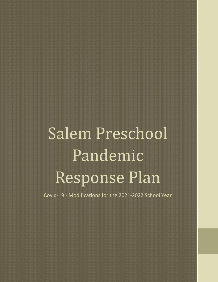# Salem Preschool Pandemic Response Plan

Covid-19 - Modifications for the 2021-2022 School Year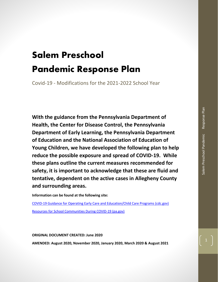# Salem Preschool Pandemic Response Plan

Covid-19 - Modifications for the 2021-2022 School Year

**With the guidance from the Pennsylvania Department of Health, the Center for Disease Control, the Pennsylvania Department of Early Learning, the Pennsylvania Department of Education and the National Association of Education of Young Children, we have developed the following plan to help reduce the possible exposure and spread of COVID-19. While these plans outline the current measures recommended for safety, it is important to acknowledge that these are fluid and tentative, dependent on the active cases in Allegheny County and surrounding areas.**

**Information can be found at the following site:**

[COVID-19 Guidance for Operating Early Care and Education/Child Care Programs \(cdc.gov\)](https://www.cdc.gov/coronavirus/2019-ncov/community/schools-childcare/child-care-guidance.html) [Resources for School Communities During COVID-19 \(pa.gov\)](https://www.education.pa.gov/Schools/safeschools/emergencyplanning/COVID-19/Pages/default.aspx)

**ORIGINAL DOCUMENT CREATED: June 2020**

**AMENDED: August 2020, November 2020, January 2020, March 2020 & August 2021**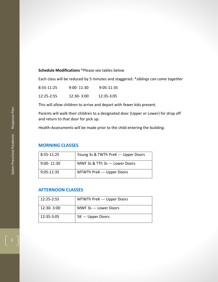#### **Schedule Modifications** \*Please see tables below

Each class will be reduced by 5 minutes and staggered. \**siblings can come together*

| 8:55-11:25     | $9:00 - 11:30$ | $9:05 - 11:35$ |
|----------------|----------------|----------------|
| $12:25 - 2:55$ | $12:30 - 3:00$ | 12:35-3:05     |

This will allow children to arrive and depart with fewer kids present.

Parents will walk their children to a designated door (Upper or Lower) for drop off and return to that door for pick up.

Health-Assessments will be made prior to the child entering the building.

### **MORNING CLASSES**

| 8:55-11:25     | Young 3s & TWTh PreK --- Upper Doors |
|----------------|--------------------------------------|
| $9:00 - 11:30$ | MWF 3s & TTh 3s --- Lower Doors      |
| 9:05-11:35     | MTWTh PreK --- Upper Doors           |

## **AFTERNOON CLASSES**

| 12:25-2:55 | MTWTh PreK --- Upper Doors |
|------------|----------------------------|
| 12:30-3:00 | MWF 3s --- Lower Doors     |
| 12:35-3:05 | 5K --- Upper Doors         |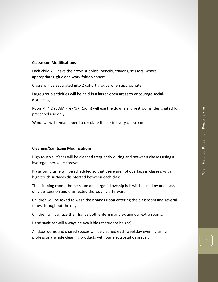#### **Classroom Modifications**

Each child will have their own supplies: pencils, crayons, scissors (where appropriate), glue and work folder/papers.

Classs will be separated into 2 cohort groups when appropriate.

Large group activities will be held in a larger open areas to encourage socialdistancing.

Room 4 (4 Day AM PreK/5K Room) will use the downstairs restrooms, designated for preschool use only.

Windows will remain open to circulate the air in every classroom.

#### **Cleaning/Sanitizing Modifications**

High touch surfaces will be cleaned frequently during and between classes using a hydrogen peroxide sprayer.

Playground time will be scheduled so that there are not overlaps in classes, with high touch surfaces disinfected between each class.

The climbing room, theme room and large fellowship hall will be used by one class only per session and disinfected thoroughly afterward.

Children will be asked to wash their hands upon entering the classroom and several times throughout the day.

Children will sanitize their hands both entering and exiting our extra rooms.

Hand sanitizer will always be available (at student height).

All classrooms and shared spaces will be cleaned each weekday evening using professional grade cleaning products with our electrostatic sprayer.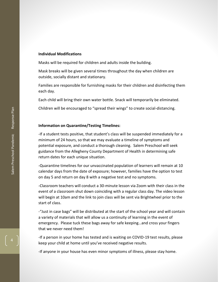#### **Individual Modifications**

Masks will be required for children and adults inside the building.

Mask breaks will be given several times throughout the day when children are outside, socially distant and stationary.

Families are responsible for furnishing masks for their children and disinfecting them each day.

Each child will bring their own water bottle. Snack will temporarily be eliminated.

Children will be encouraged to "spread their wings" to create social-distancing.

#### **Information on Quarantine/Testing Timelines:**

-If a student tests positive, that student's class will be suspended immediately for a minimum of 24 hours, so that we may evaluate a timeline of symptoms and potential exposure, and conduct a thorough cleaning. Salem Preschool will seek guidance from the Allegheny County Department of Health in determining safe return dates for each unique situation.

-Quarantine timelines for our unvaccinated population of learners will remain at 10 calendar days from the date of exposure; however, families have the option to test on day 5 and return on day 8 with a negative test and no symptoms.

-Classroom teachers will conduct a 30-minute lesson via Zoom with their class in the event of a classroom shut down coinciding with a regular class day. The video lesson will begin at 10am and the link to join class will be sent via Brightwheel prior to the start of class.

-"Just in case bags" will be distributed at the start of the school year and will contain a variety of materials that will allow us a continuity of learning in the event of emergency. Please tuck these bags away for safe keeping…and cross your fingers that we never need them!

-If a person in your home has tested and is waiting on COVID-19 test results, please keep your child at home until you've received negative results.

-If anyone in your house has even minor symptoms of illness, please stay home.

4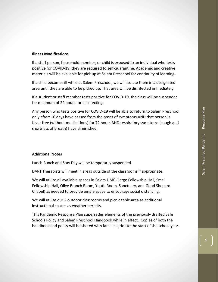#### **Illness Modifications**

If a staff person, household member, or child is exposed to an individual who tests positive for COVID-19, they are required to self-quarantine. Academic and creative materials will be available for pick up at Salem Preschool for continuity of learning.

If a child becomes ill while at Salem Preschool, we will isolate them in a designated area until they are able to be picked up. That area will be disinfected immediately.

If a student or staff member tests positive for COVID-19, the class will be suspended for minimum of 24 hours for disinfecting.

Any person who tests positive for COVID-19 will be able to return to Salem Preschool only after: 10 days have passed from the onset of symptoms AND that person is fever free (without medications) for 72 hours AND respiratory symptoms (cough and shortness of breath) have diminished.

#### **Additional Notes**

Lunch Bunch and Stay Day will be temporarily suspended.

DART Therapists will meet in areas outside of the classrooms if appropriate.

We will utilize all available spaces in Salem UMC (Large Fellowship Hall, Small Fellowship Hall, Olive Branch Room, Youth Room, Sanctuary, and Good Shepard Chapel) as needed to provide ample space to encourage social distancing.

We will utilize our 2 outdoor classrooms and picnic table area as additional instructional spaces as weather permits.

This Pandemic Response Plan supersedes elements of the previously drafted Safe Schools Policy and Salem Preschool Handbook while in effect. Copies of both the handbook and policy will be shared with families prior to the start of the school year.